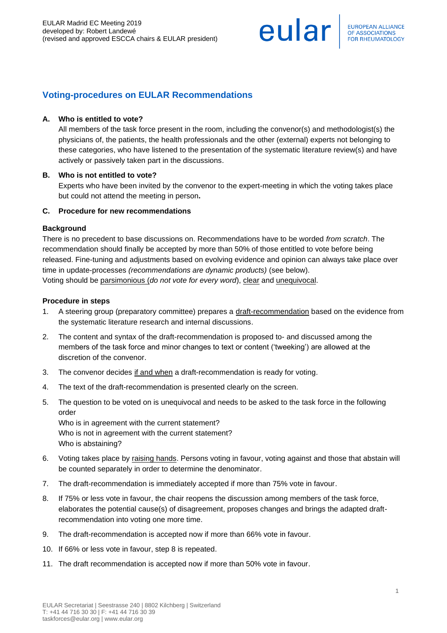eular

# **Voting-procedures on EULAR Recommendations**

### **A. Who is entitled to vote?**

All members of the task force present in the room, including the convenor(s) and methodologist(s) the physicians of, the patients, the health professionals and the other (external) experts not belonging to these categories, who have listened to the presentation of the systematic literature review(s) and have actively or passively taken part in the discussions.

#### **B. Who is not entitled to vote?**

Experts who have been invited by the convenor to the expert-meeting in which the voting takes place but could not attend the meeting in person**.**

#### **C. Procedure for new recommendations**

#### **Background**

There is no precedent to base discussions on. Recommendations have to be worded *from scratch*. The recommendation should finally be accepted by more than 50% of those entitled to vote before being released. Fine-tuning and adjustments based on evolving evidence and opinion can always take place over time in update-processes *(recommendations are dynamic products)* (see below). Voting should be parsimonious (*do not vote for every word*), clear and unequivocal.

### **Procedure in steps**

- 1. A steering group (preparatory committee) prepares a draft-recommendation based on the evidence from the systematic literature research and internal discussions.
- 2. The content and syntax of the draft-recommendation is proposed to- and discussed among the members of the task force and minor changes to text or content ('tweeking') are allowed at the discretion of the convenor.
- 3. The convenor decides if and when a draft-recommendation is ready for voting.
- 4. The text of the draft-recommendation is presented clearly on the screen.
- 5. The question to be voted on is unequivocal and needs to be asked to the task force in the following order

Who is in agreement with the current statement? Who is not in agreement with the current statement? Who is abstaining?

- 6. Voting takes place by raising hands. Persons voting in favour, voting against and those that abstain will be counted separately in order to determine the denominator.
- 7. The draft-recommendation is immediately accepted if more than 75% vote in favour.
- 8. If 75% or less vote in favour, the chair reopens the discussion among members of the task force, elaborates the potential cause(s) of disagreement, proposes changes and brings the adapted draftrecommendation into voting one more time.
- 9. The draft-recommendation is accepted now if more than 66% vote in favour.
- 10. If 66% or less vote in favour, step 8 is repeated.
- 11. The draft recommendation is accepted now if more than 50% vote in favour.